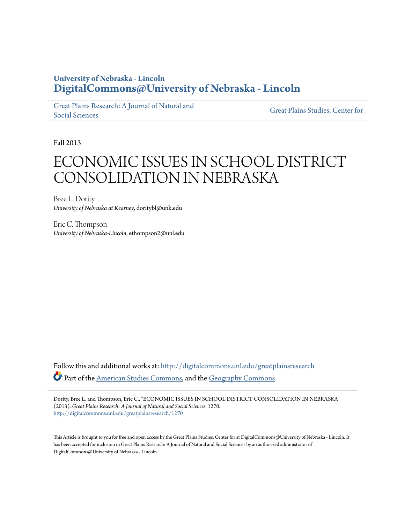# **University of Nebraska - Lincoln [DigitalCommons@University of Nebraska - Lincoln](http://digitalcommons.unl.edu?utm_source=digitalcommons.unl.edu%2Fgreatplainsresearch%2F1270&utm_medium=PDF&utm_campaign=PDFCoverPages)**

[Great Plains Research: A Journal of Natural and](http://digitalcommons.unl.edu/greatplainsresearch?utm_source=digitalcommons.unl.edu%2Fgreatplainsresearch%2F1270&utm_medium=PDF&utm_campaign=PDFCoverPages) [Social Sciences](http://digitalcommons.unl.edu/greatplainsresearch?utm_source=digitalcommons.unl.edu%2Fgreatplainsresearch%2F1270&utm_medium=PDF&utm_campaign=PDFCoverPages)

[Great Plains Studies, Center for](http://digitalcommons.unl.edu/greatplainsstudies?utm_source=digitalcommons.unl.edu%2Fgreatplainsresearch%2F1270&utm_medium=PDF&utm_campaign=PDFCoverPages)

Fall 2013

# ECONOMIC ISSUES IN SCHOOL DISTRICT CONSOLIDATION IN NEBRASKA

Bree L. Dority *University of Nebraska at Kearney*, doritybl@unk.edu

Eric C. Thompson *University of Nebraska-Lincoln*, ethompson2@unl.edu

Follow this and additional works at: [http://digitalcommons.unl.edu/greatplainsresearch](http://digitalcommons.unl.edu/greatplainsresearch?utm_source=digitalcommons.unl.edu%2Fgreatplainsresearch%2F1270&utm_medium=PDF&utm_campaign=PDFCoverPages) Part of the [American Studies Commons](http://network.bepress.com/hgg/discipline/439?utm_source=digitalcommons.unl.edu%2Fgreatplainsresearch%2F1270&utm_medium=PDF&utm_campaign=PDFCoverPages), and the [Geography Commons](http://network.bepress.com/hgg/discipline/354?utm_source=digitalcommons.unl.edu%2Fgreatplainsresearch%2F1270&utm_medium=PDF&utm_campaign=PDFCoverPages)

Dority, Bree L. and Thompson, Eric C., "ECONOMIC ISSUES IN SCHOOL DISTRICT CONSOLIDATION IN NEBRASKA" (2013). *Great Plains Research: A Journal of Natural and Social Sciences*. 1270. [http://digitalcommons.unl.edu/greatplainsresearch/1270](http://digitalcommons.unl.edu/greatplainsresearch/1270?utm_source=digitalcommons.unl.edu%2Fgreatplainsresearch%2F1270&utm_medium=PDF&utm_campaign=PDFCoverPages)

This Article is brought to you for free and open access by the Great Plains Studies, Center for at DigitalCommons@University of Nebraska - Lincoln. It has been accepted for inclusion in Great Plains Research: A Journal of Natural and Social Sciences by an authorized administrator of DigitalCommons@University of Nebraska - Lincoln.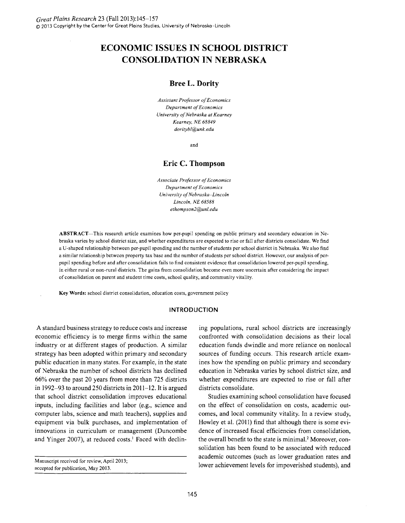# **ECONOMIC ISSUES IN SCHOOL DISTRICT CONSOLIDATION IN NEBRASKA**

# **Bree L. Dority**

*Assistant Professor of Economics Department of Economics University of Nebraska at Kearney Kearney, NE 68849 doritybl@unk.edu* 

and

# **Eric C. Thompson**

*Associate Professor of Economics Department of Economics University of Nebraska-Lincoln Lincoln, NE 68588 ethompson2@unl.edu* 

ABSTRACT-This research article examines how per-pupil spending on public primary and secondary education in Nebraska varies by school district size, and whether expenditures are expected to rise or fall after districts consolidate. We find a U-shaped relationship between per-pupil spending and the number of students per school district in Nebraska. We also find a similar relationship between property tax base and the number of students per school district. However, our analysis of perpupil spending before and after consolidation fails to find consistent evidence that consolidation lowered per-pupil spending, in either rural or non-rural districts. The gains from consolidation become even more uncertain after considering the impact of consolidation on parent and student time costs, school quality, and community vitality.

Key Words: school district consolidation, education costs, government policy

# **INTRODUCTION**

A standard business strategy to reduce costs and increase economic efficiency is to merge firms within the same industry or at different stages of production. A similar strategy has been adopted within primary and secondary public education in many states. For example, in the state of Nebraska the number of school districts has declined 66% over the past 20 years from more than 725 districts in 1992-93 to around 250 districts in 2011-12. It is argued that school district consolidation improves educational inputs, including facilities and labor (e.g., science and computer labs, science and math teachers), supplies and equipment via bulk purchases, and implementation of innovations in curriculum or management (Duncombe and Yinger 2007), at reduced costs.<sup>1</sup> Faced with declining populations, rural school districts are increasingly confronted with consolidation decisions as their local education funds dwindle and more reliance on nonlocal sources of funding occurs. This research article examines how the spending on public primary and secondary education in Nebraska varies by school district size, and whether expenditures are expected to rise or fall after districts consolidate.

Studies examining school consolidation have focused on the effect of consolidation on costs, academic outcomes, and local community vitality. In a review study, Howley et al. (2011) find that although there is some evidence of increased fiscal efficiencies from consolidation, the overall benefit to the state is minimal.<sup>2</sup> Moreover, consolidation has been found to be associated with reduced academic outcomes (such as lower graduation rates and lower achievement levels for impoverished students), and

Manuscript received for review, April 2013; accepted for publication, May 2013.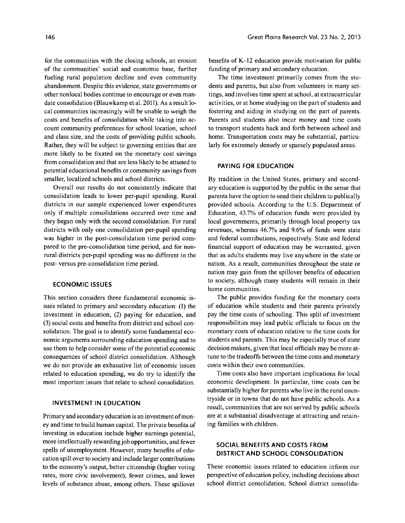for the communities with the closing schools, an erosion of the communities' social and economic base, further fueling rural population decline and even community abandonment. Despite this evidence, state governments or other nonlocal bodies continue to encourage or even mandate consolidation (Blauwkamp et al. 2011). As a result local communities increasingly will be unable to weigh the costs and benefits of consolidation while taking into account community preferences for school location, school and class size, and the costs of providing public schools. Rather, they will be subject to governing entities that are more likely to be fixated on the monetary cost savings from consolidation and that are less likely to be attuned to potential educational benefits or community savings from smaller, localized schools and school districts.

Overall our results do not consistently indicate that consolidation leads to lower per-pupil spending. Rural districts in our sample experienced lower expenditures only if multiple consolidations occurred over time and they began only with the second consolidation. For rural districts with only one consolidation per-pupil spending was higher in the post-consolidation time period compared to the pre-consolidation time period, and for nonrural districts per-pupil spending was no different in the post- versus pre-consolidation time period.

## **ECONOMIC ISSUES**

This section considers three fundamental economic issues related to primary and secondary education: (1) the investment in education, (2) paying for education, and (3) social costs and benefits from district and school consolidation. The goal is to identify some fundamental economic arguments surrounding education spending and to use them to help consider some of the potential economic consequences of school district consolidation. Although we do not provide an exhaustive list of economic issues related to education spending, we do try to identify the most important issues that relate to school consolidation.

# **INVESTMENT IN EDUCATION**

Primary and secondary education is an investment of money and time to build human capital. The private benefits of investing in education include higher earnings potential, more intellectually rewarding job opportunities, and fewer spells of unemployment. However, many benefits of education spill over to society and include larger contributions to the economy's output, better citizenship (higher voting rates, more civic involvement), fewer crimes, and lower levels of substance abuse, among others. These spillover

benefits of K-12 education provide motivation for public funding of primary and secondary education.

The time investment primarily comes from the students and parents, but also from volunteers in many settings, and involves time spent at school, at extracurricular activities, or at home studying on the part of students and fostering and aiding in studying on the part of parents. Parents and students also incur money and time costs to transport students back and forth between school and home. Transportation costs may be substantial, particularly for extremely densely or sparsely populated areas.

#### **PAYING FOR EDUCATION**

By tradition in the United States, primary and secondary education is supported by the public in the sense that parents have the option to send their children to publically provided schools. According to the U.S. Department of Education, 43.7% of education funds were provided by local governments, primarily through local property tax revenues, whereas 46.7% and 9.6% of funds were state and federal contributions, respectively. State and federal financial support of education may be warranted, given that as adults students may live anywhere in the state or nation. As a result, communities throughout the state or nation may gain from the spillover benefits of education to society, although many students will remain in their home communities.

The public provides funding for the monetary costs of education while students and their parents privately pay the time costs of schooling. This split of investment responsibilities may lead public officials to focus on the monetary costs of education relative to the time costs for students and parents. This may be especially true of state decision makers, given that local officials may be more attune to the tradeoffs between the time costs and monetary costs within their own communities.

Time costs also have important implications for local economic development. In particular, time costs can be substantially higher for parents who live in the rural countryside or in towns that do not have public schools. As a result, communities that are not served by public schools are at a substantial disadvantage at attracting and retaining families with children.

# **SOCIAL BENEFITS AND COSTS FROM DISTRICT AND SCHOOL CONSOLIDATION**

These economic issues related to education inform our perspective of education policy, including decisions about school district consolidation. School district consolida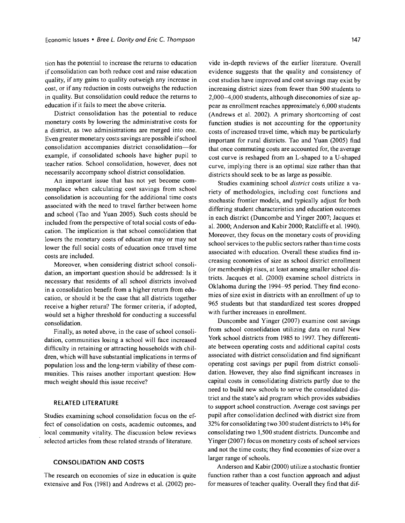tion has the potential to increase the returns to education if consolidation can both reduce cost and raise education quality, if any gains to quality outweigh any increase in cost, or if any reduction in costs outweighs the reduction in quality. But consolidation could reduce the returns to education if it fails to meet the above criteria.

District consolidation has the potential to reduce monetary costs by lowering the administrative costs for a district, as two administrations are merged into one. Even greater monetary costs savings are possible if school consolidation accompanies district consolidation-for example, if consolidated schools have higher pupil to teacher ratios. School consolidation, however, does not necessarily accompany school district consolidation.

An important issue that has not yet become commonplace when calculating cost savings from school consolidation is accounting for the additional time costs associated with the need to travel farther between home and school (Tao and Yuan 2005). Such costs should be included from the perspective of total social costs of education. The implication is that school consolidation that lowers the monetary costs of education mayor may not lower the full social costs of education once travel time costs are included.

Moreover, when considering district school consolidation, an important question should be addressed: Is it necessary that residents of all school districts involved in a consolidation benefit from a higher return from education, or should it be the case that all districts together receive a higher return? The former criteria, if adopted, would set a higher threshold for conducting a successful consolidation.

Finally, as noted above, in the case of school consolidation, communities losing a school will face increased difficulty in retaining or attracting households with children, which will have substantial implications in terms of population loss and the long-term viability of these communities. This raises another important question: How much weight should this issue receive?

#### **RELATED LITERATURE**

Studies examining school consolidation focus on the effect of consolidation on costs, academic outcomes, and local community vitality. The discussion below reviews selected articles from these related strands of literature.

### **CONSOLIDATION AND COSTS**

The research on economies of size in education is quite extensive and Fox (1981) and Andrews et al. (2002) provide in-depth reviews of the earlier literature. Overall evidence suggests that the quality and consistency of cost studies have improved and cost savings may exist by increasing district sizes from fewer than 500 students to 2,000-4,000 students, although diseconomies of size appear as enrollment reaches approximately 6,000 students (Andrews et al. 2002). A primary shortcoming of cost function studies is not accounting for the opportunity costs of increased travel time, which may be particularly important for rural districts. Tao and Yuan (2005) find that once commuting costs are accounted for, the average cost curve is reshaped from an L-shaped to a U-shaped curve, implying there is an optimal size rather than that districts should seek to be as large as possible.

Studies examining school *district* costs utilize a variety of methodologies, including cost functions and stochastic frontier models, and typically adjust for both differing student characteristics and education outcomes in each district (Duncombe and Yinger 2007; Jacques et al. 2000; Anderson and Kabir 2000; Ratcliffe et al. 1990). Moreover, they focus on the monetary costs of providing school services to the public sectors rather than time costs associated with education. Overall these studies find increasing economies of size as school district enrollment (or membership) rises, at least among smaller school districts. Jacques et al. (2000) examine school districts in Oklahoma during the 1994-95 period. They find economies of size exist in districts with an enrollment of up to 965 students but that standardized test scores dropped with further increases in enrollment.

Duncombe and Yinger (2007) examine cost savings from school consolidation utilizing data on rural New York school districts from 1985 to 1997. They differentiate between operating costs and additional capital costs associated with district consolidation and find significant operating cost savings per pupil from district consolidation. However, they also find significant increases in capital costs in consolidating districts partly due to the need to build new schools to serve the consolidated district and the state's aid program which provides subsidies to support school construction. Average cost savings per pupil after consolidation declined with district size from 32% for consolidating two 300 student districts to 14% for consolidating two 1,500 student districts. Duncombe and Yinger (2007) focus on monetary costs of school services and not the time costs; they find economies of size over a larger range of schools.

Anderson and Kabir (2000) utilize a stochastic frontier function rather than a cost function approach and adjust for measures of teacher quality. Overall they find that dif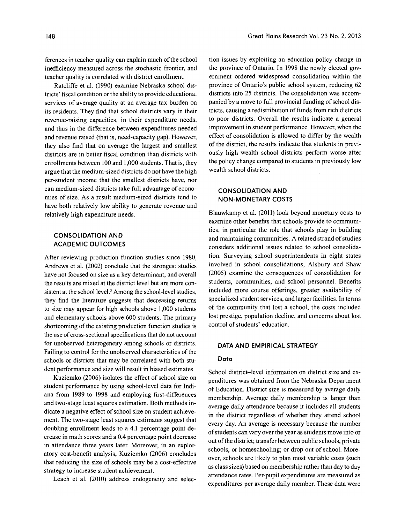ferences in teacher quality can explain much of the school inefficiency measured across the stochastic frontier, and teacher quality is correlated with district enrollment.

Ratcliffe et al. (1990) examine Nebraska school districts' fiscal condition or the ability to provide educational services of average quality at an average tax burden on its residents. They find that school districts vary in their revenue-raising capacities, in their expenditure needs, and thus in the difference between expenditures needed and revenue raised (that is, need-capacity gap). However, they also find that on average the largest and smallest districts are in better fiscal condition than districts with enrollments between 100 and 1,000 students. That is, they argue that the medium-sized districts do not have the high per-student income that the smallest districts have, nor can medium-sized districts take full advantage of economies of size. As a result medium-sized districts tend to have both relatively low ability to generate revenue and relatively high expenditure needs.

# **CONSOLIDATION AND ACADEMIC OUTCOMES**

After reviewing production function studies since 1980, Andrews et al. (2002) conclude that the strongest studies have not focused on size as a key determinant, and overall the results are mixed at the district level but are more consistent at the school level.<sup>3</sup> Among the school-level studies, they find the literature suggests that decreasing returns to size may appear for high schools above 1,000 students and elementary schools above 600 students. The primary shortcoming of the existing production function studies is the use of cross-sectional specifications that do not account for unobserved heterogeneity among schools or districts. Failing to control for the unobserved characteristics of the schools or districts that may be correlated with both student performance and size will result in biased estimates.

Kuziemko (2006) isolates the effect of school size on student performance by using school-level data for Indiana from 1989 to 1998 and employing first-differences and two-stage least squares estimation. Both methods indicate a negative effect of school size on student achievement. The two-stage least squares estimates suggest that doubling enrollment leads to a 4.l percentage point decrease in math scores and a 0.4 percentage point decrease in attendance three years later. Moreover, in an exploratory cost-benefit analysis, Kuziemko (2006) concludes that reducing the size of schools may be a cost-effective strategy to increase student achievement.

Leach et al. (2010) address endogeneity and selec-

tion issues by exploiting an education policy change in the province of Ontario. In 1998 the newly elected government ordered widespread consolidation within the province of Ontario's public school system, reducing 62 districts into 25 districts. The consolidation was accompanied by a move to full provincial funding of school districts, causing a redistribution of funds from rich districts to poor districts. Overall the results indicate a general improvement in student performance. However, when the effect of consolidation is allowed to differ by the wealth of the district, the results indicate that students in previously high wealth school districts perform worse after the policy change compared to students in previously low wealth school districts.

# **CONSOLIDATION AND NON-MONETARY COSTS**

Blauwkamp et al. (2011) look beyond monetary costs to examine other benefits that schools provide to communities, in particular the role that schools play in building and maintaining communities. A related strand of studies considers additional issues related to school consolidation. Surveying school superintendents in eight states involved in school consolidations, Alsbury and Shaw (2005) examine the consequences of consolidation for students, communities, and school personnel. Benefits included more course offerings, greater availability of specialized student services, and larger facilities. In terms of the community that lost a school, the costs included lost prestige, population decline, and concerns about lost control of students' education.

# **DATA AND EMPIRICAL STRATEGY**

#### **Data**

School district-level information on district size and expenditures was obtained from the Nebraska Department of Education. District size is measured by average daily membership. Average daily membership is larger than average daily attendance because it includes all students in the district regardless of whether they attend school every day. An average is necessary because the number of students can vary over the year as students move into or out of the district; transfer between public schools, private schools, or homeschooling; or drop out of school. Moreover, schools are likely to plan most variable costs (such as class sizes) based on membership rather than day to day attendance rates. Per-pupil expenditures are measured as expenditures per average daily member. These data were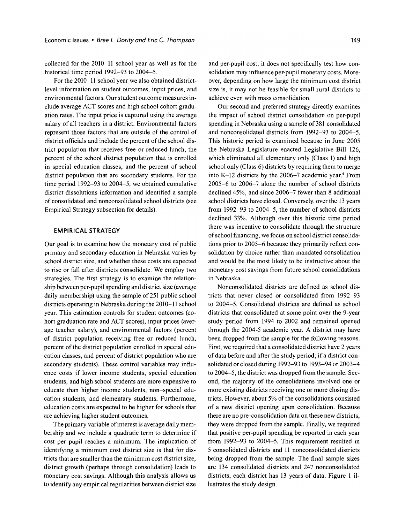collected for the 2010-11 school year as well as for the historical time period 1992-93 to 2004-5.

For the 2010-11 school year we also obtained districtlevel information on student outcomes, input prices, and environmental factors. Our student outcome measures include average ACT scores and high school cohort graduation rates. The input price is captured using the average salary of all teachers in a district. Environmental factors represent those factors that are outside of the control of district officials and include the percent of the school district population that receives free or reduced lunch, the percent of the school district population that is enrolled in special education classes, and the percent of school district population that are secondary students. For the time period 1992-93 to 2004-5, we obtained cumulative district dissolutions information and identified a sample of consolidated and nonconsolidated school districts (see Empirical Strategy subsection for details).

#### **EMPIRICAL STRATEGY**

Our goal is to examine how the monetary cost of public primary and secondary education in Nebraska varies by school district size, and whether these costs are expected to rise or fall after districts consolidate. We employ two strategies. The first strategy is to examine the relationship between per-pupil spending and district size (average daily membership) using the sample of 251 public school districts operating in Nebraska during the 2010-11 school year. This estimation controls for student outcomes (cohort graduation rate and ACT scores), input prices (average teacher salary), and environmental factors (percent of district population receiving free or reduced lunch, percent of the district population enrolled in special education classes, and percent of district population who are secondary students). These control variables may influence costs if lower income students, special education students, and high school students are more expensive to educate than higher income students, non-special education students, and elementary students. Furthermore, education costs are expected to be higher for schools that are achieving higher student outcomes.

The primary variable of interest is average daily membership and we include a quadratic term to determine if cost per pupil reaches a minimum. The implication of identifying a minimum cost district size is that for districts that are smaller than the minimum cost district size, district growth (perhaps through consolidation) leads to monetary cost savings. Although this analysis allows us to identify any empirical regularities between district size and per-pupil cost, it does not specifically test how consolidation may influence per-pupil monetary costs. Moreover, depending on how large the minimum cost district size is, it may not be feasible for small rural districts to achieve even with mass consolidation.

Our second and preferred strategy directly examines the impact of school district consolidation on per-pupil spending in Nebraska using a sample of 381 consolidated and nonconsolidated districts from 1992-93 to 2004-5. This historic period is examined because in June 2005 the Nebraska Legislature enacted Legislative Bill 126, which eliminated all elementary only (Class 1) and high school only (Class 6) districts by requiring them to merge into K-12 districts by the  $2006-7$  academic year.<sup>4</sup> From 2005-6 to 2006-7 alone the number of school districts declined 45%, and since 2006-7 fewer than 8 additional school districts have closed. Conversely, over the 13 years from 1992-93 to 2004-5, the number of school districts declined 33%. Although over this historic time period there was incentive to consolidate through the structure of school financing, we focus on school district consolidations prior to 2005-6 because they primarily reflect consolidation by choice rather than mandated consolidation and would be the most likely to be instructive about the monetary cost savings from future school consolidations in Nebraska.

Nonconsolidated districts are defined as school districts that never closed or consolidated from 1992-93 to 2004-5. Consolidated districts are defined as school districts that consolidated at some point over the 9-year study period from 1994 to 2002 and remained opened through the 2004-5 academic year. A district may have been dropped from the sample for the following reasons. First, we required that a consolidated district have 2 years of data before and after the study period; if a district consolidated or closed during 1992-93 to 1993-94 or 2003-4 to 2004-5, the district was dropped from the sample. Second, the majority of the consolidations involved one or more existing districts receiving one or more closing districts. However, about 5% of the consolidations consisted of a new district opening upon consolidation. Because there are no pre-consolidation data on these new districts, they were dropped from the sample. Finally, we required that positive per-pupil spending be reported in each year from 1992-93 to 2004-5. This requirement resulted in 5 consolidated districts and **II** nonconsolidated districts being dropped from the sample. The final sample sizes are 134 consolidated districts and 247 nonconsolidated districts; each district has 13 years of data. Figure 1 illustrates the study design.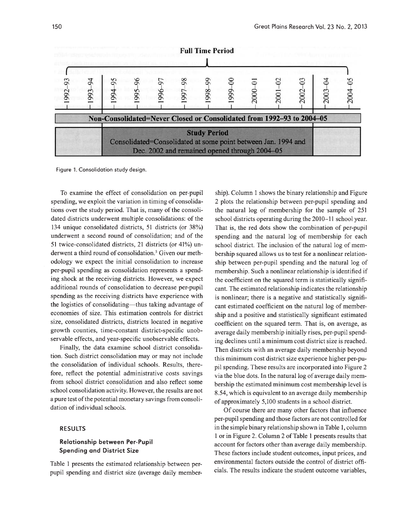

Figure 1. Consolidation study design.

To examine the effect of consolidation on per-pupil spending, we exploit the variation in timing of consolidations over the study period. That is, many of the consolidated districts underwent multiple consolidations: of the 134 unique consolidated districts, 51 districts (or 38%) underwent a second round of consolidation; and of the 51 twice-consolidated districts, 21 districts (or 41%) underwent a third round of consolidation.<sup>5</sup> Given our methodology we expect the initial consolidation to increase per-pupil spending as consolidation represents a spending shock at the receiving districts. However, we expect additional rounds of consolidation to decrease per-pupil spending as the receiving districts have experience with the logistics of consolidating-thus taking advantage of economies of size. This estimation controls for district size, consolidated districts, districts located in negative growth counties, time-constant district-specific unobservable effects, and year-specific unobservable effects.

Finally, the data examine school district consolidation. Such district consolidation mayor may not include the consolidation of individual schools. Results, therefore, reflect the potential administrative costs savings from school district consolidation and also reflect some school consolidation activity. However, the results are not a pure test of the potential monetary savings from consolidation of individual schools.

#### **RESULTS**

# **Relationship between Per-Pupil Spending and District Size**

Table I presents the estimated relationship between perpupil spending and district size (average daily membership). Column I shows the binary relationship and Figure 2 plots the relationship between per-pupil spending and the natural log of membership for the sample of 251 school districts operating during the 2010-11 school year. That is, the red dots show the combination of per-pupil spending and the natural log of membership for each school district. The inclusion of the natural log of membership squared allows us to test for a nonlinear relationship between per-pupil spending and the natural log of membership. Such a nonlinear relationship is identified if the coefficient on the squared term is statistically significant. The estimated relationship indicates the relationship is nonlinear; there is a negative and statistically significant estimated coefficient on the natural log of membership and a positive and statistically significant estimated coefficient on the squared term. That is, on average, as average daily membership initially rises, per-pupil spending declines until a minimum cost district size is reached. Then districts with an average daily membership beyond this minimum cost district size experience higher per-pupil spending. These results are incorporated into Figure 2 via the blue dots. **In** the natural log of average daily membership the estimated minimum cost membership level is 8.54, which is equivalent to an average daily membership of approximately 5,100 students in a school district.

Of course there are many other factors that influence per-pupil spending and those factors are not controlled for in the simple binary relationship shown in Table 1, column I or in Figure 2. Column 2 of Table I presents results that account for factors other than average daily membership. These factors include student outcomes, input prices, and environmental factors outside the control of district officials. The results indicate the student outcome variables,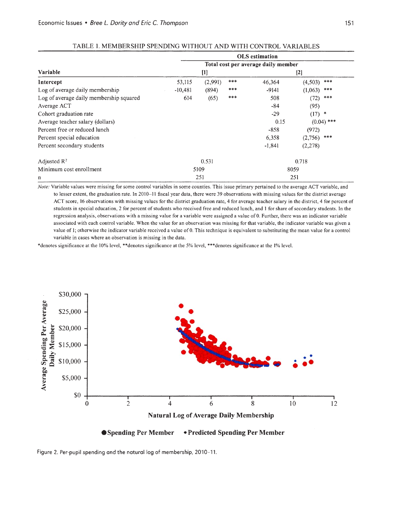|                                         | <b>OLS</b> estimation<br>Total cost per average daily member |         |       |          |                |  |
|-----------------------------------------|--------------------------------------------------------------|---------|-------|----------|----------------|--|
|                                         |                                                              |         |       |          |                |  |
| Variable                                | $[1]$                                                        |         |       | $[2]$    |                |  |
| Intercept                               | 53,115                                                       | (2,991) | ***   | 46,364   | ***<br>(4,503) |  |
| Log of average daily membership         | $-10,481$                                                    | (894)   | ***   | $-9141$  | ***<br>(1,063) |  |
| Log of average daily membership squared | 614                                                          | (65)    | ***   | 508      | ***<br>(72)    |  |
| Average ACT                             |                                                              |         |       | $-84$    | (95)           |  |
| Cohort graduation rate                  |                                                              |         |       | $-29$    | $(17)$ *       |  |
| Average teacher salary (dollars)        |                                                              |         |       | 0.15     | $(0.04)$ ***   |  |
| Percent free or reduced lunch           |                                                              |         |       | $-858$   | (972)          |  |
| Percent special education               |                                                              |         |       | 6,358    | $(2,756)$ ***  |  |
| Percent secondary students              |                                                              |         |       | $-1,841$ | (2, 278)       |  |
| Adjusted $\mathbb{R}^2$                 | 0.531                                                        |         | 0.718 |          |                |  |
| Minimum cost enrollment                 | 5109                                                         |         | 8059  |          |                |  |
| n                                       | 251                                                          |         | 251   |          |                |  |

| TABLE 1. MEMBERSHIP SPENDING WITHOUT AND WITH CONTROL VARIABLES |  |  |  |  |  |  |  |
|-----------------------------------------------------------------|--|--|--|--|--|--|--|
|-----------------------------------------------------------------|--|--|--|--|--|--|--|

*Note:* Variable values were missing for some control variables in some counties. This issue primary pertained to the average ACT variable, and to lesser extent, the graduation rate. In 2010-11 fiscal year data, there were 39 observations with missing values for the district average ACT score, 16 observations with missing values for the district graduation rate, 4 for average teacher salary in the district, 4 for percent of students in special education, 2 for percent of students who received free and reduced lunch, and I for share of secondary students. In the regression analysis, observations with a missing value for a variable were assigned a value of O. Further, there was an indicator variable associated with each control variable. When the value for an observation was missing for that variable, the indicator variable was given a value of 1; otherwise the indicator variable received a value of 0. This technique is equivalent to substituting the mean value for a control variable in cases where an observation is missing in the data.

\*denotes significance at the 10% level, \*\*denotes significance at the 5% level, \*\*\*denotes significance at the 1% level.





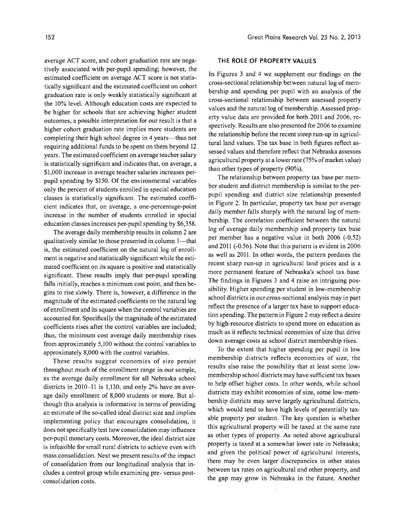average ACT score, and cohort graduation rate are negatively associated with per-pupil spending; however, the estimated coefficient on average ACT score is not statistically significant and the estimated coefficient on cohort graduation rate is only weakly statistically significant at the 10% level. Although education costs are expected to be higher for schools that are achieving higher student outcomes, a possible interpretation for our result is that a higher cohort graduation rate implies more students are completing their high school degree in 4 years—thus not requiring additional funds to be spent on them beyond 12 years. The estimated coefficient on average teacher salary is statistically significant and indicates that, on average, a \$1,000 increase in average teacher salaries increases perpupil spending by \$150. Of the environmental variables only the percent of students enrolled in special education classes is statistically significant. The estimated coefficient indicates that, on average, a one-percentage-point increase in the number of students enrolled in special education classes increases per-pupil spending by \$6,358.

The average daily membership results in column 2 are qualitatively similar to those presented in column 1—that is, the estimated coefficient on the natural log of enrollment is negative and statistically significant while the estimated coefficient on its square is positive and statistically significant. These results imply that per-pupil spending falls initially, reaches a minimum cost point, and then begins to rise slowly. There is, however, a difference in the magnitude of the estimated coefficients on the natural log of enrollment and its square when the control variables are accounted for. Specifically the magnitude of the estimated coefficients rises after the control variables are included; thus, the minimum cost average daily membership rises from approximately 5,100 without the control variables to approximately 8,000 with the control variables.

These results suggest economies of size persist throughout much of the enrollment range in our sample, as the average daily enrollment for all Nebraska school districts in 2010-11 is 1,130, and only 2% have an average daily enrollment of 8,000 students or more. But although this analysis is informative in terms of providing an estimate of the so-called ideal district size and implies implementing policy that encourages consolidation, it does not specifically test how consolidation may influence per-pupil monetary costs. Moreover, the ideal district size is infeasible for small rural districts to achieve even with mass consolidation. Next we present results of the impact of consolidation from our longitudinal analysis that includes a control group while examining pre- versus postconsolidation costs.

#### **THE ROLE OF PROPERTY VALUES**

In Figures 3 and 4 we supplement our findings on the cross-sectional relationship between natural log of membership and spending per pupil with an analysis of the cross-sectional relationship between assessed property values and the natural log of membership. Assessed property value data are provided for both 2011 and 2006, respectively. Results are also presented for 2006 to examine the relationship before the recent steep run-up in agricultural land values. The tax base in both figures reflect assessed values and therefore reflect that Nebraska assesses agricultural property at a lower rate (75% of market value) than other types of property (90%).

The relationship between property tax base per member student and district membership is similar to the perpupil spending and district size relationship presented in Figure 2. In particular, property tax base per average daily member falls sharply with the natural log of membership. The correlation coefficient between the natural log of average daily membership and property tax base per member has a negative value in both 2006 (-0.52) and 2011 (-0.56). Note that this pattern is evident in 2006 as well as 2011. In other words, the pattern predates the recent sharp run-up in agricultural land prices and is a more permanent feature of Nebraska's school tax base. The findings in Figures 3 and 4 raise an intriguing possibility. Higher spending per student in low-membership school districts in our cross-sectional analysis may in part reflect the presence of a larger tax base to support education spending. The pattern in Figure 2 may reflect a desire by high-resource districts to spend more on education as much as it reflects technical economies of size that drive down average costs as school district membership rises.

To the extent that higher spending per pupil in low membership districts reflects economies of size, the results also raise the possibility that at least some lowmembership school districts may have sufficient tax bases to help offset higher costs. In other words, while school districts may exhibit economies of size, some low-membership districts may serve largely agricultural districts, which would tend to have high levels of potentially taxable property per student. The key question is whether this agricultural property will be taxed at the same rate as other types of property. As noted above agricultural property is taxed at a somewhat lower rate in Nebraska; and given the political power of agricultural interests, there may be even larger discrepancies in other states between tax rates on agricultural and other property, and the gap may grow in Nebraska in the future. Another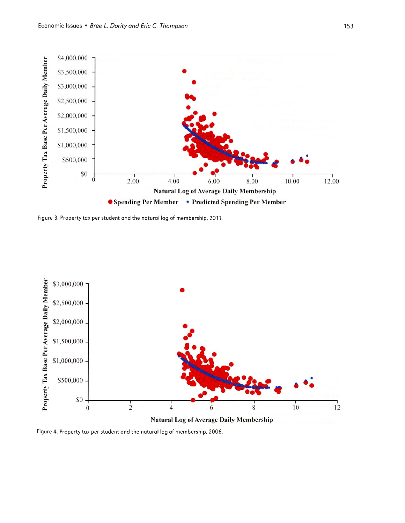

Figure 3. Property tax per student and the natural log of membership, 2011.



**Natural Log of Average Daily Membership** 

Figure 4. Property tax per student and the natural log of membership, 2006.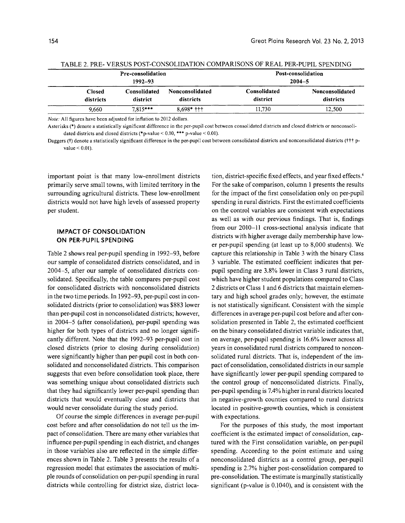| Pre-consolidation<br>1992–93 |                          |                                     | Post-consolidation<br>$2004 - 5$ |                              |  |
|------------------------------|--------------------------|-------------------------------------|----------------------------------|------------------------------|--|
| <b>Closed</b><br>districts   | Consolidated<br>district | <b>Nonconsolidated</b><br>districts | Consolidated<br>district         | Nonconsolidated<br>districts |  |
| 9.660                        | $7.815***$               | $8.698*$ +++                        | 11.730                           | 12,500                       |  |

TABLE 2. PRE- VERSUS POST-CONSOLIDATION COMPARISONS OF REAL PER-PUPIL SPENDING

*Note:* All figures have been adjusted for inflation to 2012 dollars.

Asterisks (\*) denote a statistically significant difference in the per-pupil cost between consolidated districts and closed districts or nonconsolidated districts and closed districts (\*p-value < 0.10, \*\*\* p-value < 0.01).

Daggers (†) denote a statistically significant difference in the per-pupil cost between consolidated districts and nonconsolidated districts (††† pvalue < 0.01).

important point is that many low-enrollment districts primarily serve small towns, with limited territory in the surrounding agricultural districts. These low-enrollment districts would not have high levels of assessed property per student.

# **IMPACT OF CONSOLIDATION ON PER-PUPil SPENDING**

Table 2 shows real per-pupil spending in 1992-93, before our sample of consolidated districts consolidated, and in 2004-5, after our sample of consolidated districts consolidated. Specifically, the table compares per-pupil cost for consolidated districts with nonconsolidated districts in the two time periods. In 1992-93, per-pupil cost in consolidated districts (prior to consolidation) was \$883 lower than per-pupil cost in nonconsolidated districts; however, in 2004-5 (after consolidation), per-pupil spending was higher for both types of districts and no longer significantly different. Note that the 1992-93 per-pupil cost in closed districts (prior to closing during consolidation) were significantly higher than per-pupil cost in both consolidated and nonconsolidated districts. This comparison suggests that even before consolidation took place, there was something unique about consolidated districts such that they had significantly lower per-pupil spending than districts that would eventually close and districts that would never consolidate during the study period.

Of course the simple differences in average per-pupil cost before and after consolidation do not tell us the impact of consolidation. There are many other variables that influence per-pupil spending in each district, and changes in those variables also are reflected in the simple differences shown in Table 2. Table 3 presents the results of a regression model that estimates the association of multiple rounds of consolidation on per-pupil spending in rural districts while controlling for district size, district loca-

tion, district-specific fixed effects, and year fixed effects.<sup>6</sup> For the sake of comparison, column 1 presents the results for the impact of the first consolidation only on per-pupil spending in rural districts. First the estimated coefficients on the control variables are consistent with expectations as well as with our previous findings. That is, findings from our 2010-11 cross-sectional analysis indicate that districts with higher average daily membership have lower per-pupil spending (at least up to 8,000 students). We capture this relationship in Table 3 with the binary Class 3 variable. The estimated coefficient indicates that perpupil spending are 3.8% lower in Class 3 rural districts, which have higher student populations compared to Class 2 districts or Class 1 and 6 districts that maintain elementary and high school grades only; however, the estimate is not statistically significant. Consistent with the simple differences in average per-pupil cost before and after consolidation presented in Table 2, the estimated coefficient on the binary consolidated district variable indicates that, on average, per-pupil spending is 16.6% lower across all years in consolidated rural districts compared to nonconsolidated rural districts. That is, independent of the impact of consolidation, consolidated districts in our sample have significantly lower per-pupil spending compared to the control group of nonconsolidated districts. Finally, per-pupil spending is 7.4% higher in rural districts located in negative-growth counties compared to rural districts located in positive-growth counties, which is consistent with expectations.

For the purposes of this study, the most important coefficient is the estimated impact of consolidation, captured with the First consolidation variable, on per-pupil spending. According to the point estimate and using nonconsolidated districts as a control group, per-pupil spending is 2.7% higher post-consolidation compared to pre-consolidation. The estimate is marginally statistically significant (p-value is 0.1040), and is consistent with the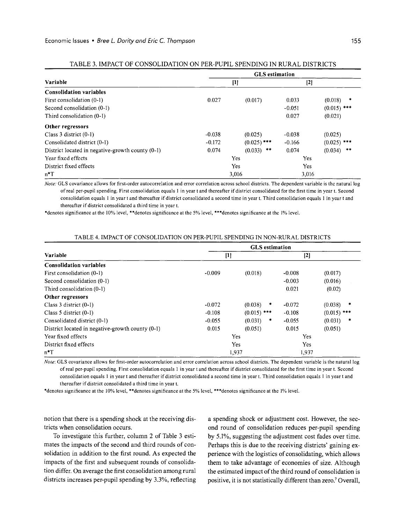|                                                  | <b>GLS</b> estimation |               |          |                  |  |  |
|--------------------------------------------------|-----------------------|---------------|----------|------------------|--|--|
| Variable                                         | $[1]$                 |               | $[2]$    |                  |  |  |
| <b>Consolidation variables</b>                   |                       |               |          |                  |  |  |
| First consolidation (0-1)                        | 0.027                 | (0.017)       | 0.033    | (0.018)<br>*     |  |  |
| Second consolidation (0-1)                       |                       |               | $-0.051$ | $(0.015)$ ***    |  |  |
| Third consolidation $(0-1)$                      |                       |               | 0.027    | (0.021)          |  |  |
| Other regressors                                 |                       |               |          |                  |  |  |
| Class $3$ district $(0-1)$                       | $-0.038$              | (0.025)       | $-0.038$ | (0.025)          |  |  |
| Consolidated district (0-1)                      | $-0.172$              | $(0.025)$ *** | $-0.166$ | $(0.025)$ ***    |  |  |
| District located in negative-growth county (0-1) | 0.074                 | $(0.033)$ **  | 0.074    | $***$<br>(0.034) |  |  |
| Year fixed effects                               |                       | Yes           | Yes      |                  |  |  |
| District fixed effects                           | <b>Yes</b>            |               | Yes      |                  |  |  |
| $n^*T$                                           |                       | 3,016         | 3,016    |                  |  |  |

|  | TABLE 3. IMPACT OF CONSOLIDATION ON PER-PUPIL SPENDING IN RURAL DISTRICTS |  |
|--|---------------------------------------------------------------------------|--|
|  |                                                                           |  |

*Note:* GLS covariance allows for first-order autocorrelation and error correlation across school districts. The dependent variable is the natural log of real per-pupil spending. First consolidation equals I in year t and thereafter if district consolidated for the first time in year t. Second consolidation equals I in year t and thereafter if district consolidated a second time in year t. Third consolidation equals I in year t and thereafter if district consolidated a third time in year t.

\*denotes significance at the 10% level, \*\*denotes significance at the 5% level, \*\*\*denotes significance at the 1% level.

|                                                  | <b>GLS</b> estimation |               |          |               |  |
|--------------------------------------------------|-----------------------|---------------|----------|---------------|--|
| Variable                                         | $[1]$                 |               | $[2]$    |               |  |
| <b>Consolidation variables</b>                   |                       |               |          |               |  |
| First consolidation (0-1)                        | $-0.009$              | (0.018)       | $-0.008$ | (0.017)       |  |
| Second consolidation (0-1)                       |                       |               | $-0.003$ | (0.016)       |  |
| Third consolidation (0-1)                        |                       |               | 0.021    | (0.02)        |  |
| Other regressors                                 |                       |               |          |               |  |
| Class $3$ district $(0-1)$                       | $-0.072$              | (0.038)<br>帯  | $-0.072$ | (0.038)<br>*  |  |
| Class 5 district $(0-1)$                         | $-0.108$              | $(0.015)$ *** | $-0.108$ | $(0.015)$ *** |  |
| Consolidated district (0-1)                      | $-0.055$              | (0.031)<br>*  | $-0.055$ | (0.031)<br>*  |  |
| District located in negative-growth county (0-1) | 0.015                 | (0.051)       | 0.015    | (0.051)       |  |
| Year fixed effects                               |                       | Yes           | Yes      |               |  |
| District fixed effects                           | Yes                   |               | Yes      |               |  |
| $n*T$                                            |                       | 1,937         | 1,937    |               |  |

*Note:* GLS covariance allows for first-order autocorrelation and error correlation across school districts. The dependent variable is the natural log of real per-pupil spending. First consolidation equals I in year t and thereafter if district consolidated for the first time in year t. Second consolidation equals I in year t and thereafter if district consolidated a second time in year t. Third consolidation equals I in year t and thereafter if district consolidated a third time in year t.

\*denotes significance at the \0% level, \*\*denotes significance at the 5% level, \*\*\*denotes significance at the 1% level.

notion that there is a spending shock at the receiving districts when consolidation occurs.

To investigate this further, column 2 of Table 3 estimates the impacts of the second and third rounds of consolidation in addition to the first round. As expected the impacts of the first and subsequent rounds of consolidation differ. On average the first consolidation among rural districts increases per-pupil spending by 3.3%, reflecting a spending shock or adjustment cost. However, the second round of consolidation reduces per-pupil spending by 5.1%, suggesting the adjustment cost fades over time. Perhaps this is due to the receiving districts' gaining experience with the logistics of consolidating, which allows them to take advantage of economies of size. Although the estimated impact of the third round of consolidation is positive, it is not statistically different than zero.? Overall,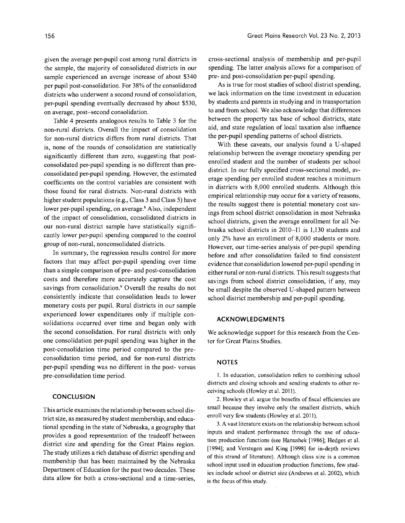given the average per-pupil cost among rural districts in the sample, the majority of consolidated districts in our sample experienced an average increase of about \$340 per pupil post-consolidation. For 38% of the consolidated districts who underwent a second round of consolidation, per-pupil spending eventually decreased by about \$530, on average, post-second consolidation.

Table 4 presents analogous results to Table 3 for the non-rural districts. Overall the impact of consolidation for non-rural districts differs from rural districts. That is, none of the rounds of consolidation are statistically significantly different than zero, suggesting that postconsolidated per-pupil spending is no different than preconsolidated per-pupil spending. However, the estimated coefficients on the control variables are consistent with those found for rural districts. Non-rural districts with higher student populations (e.g., Class 3 and Class 5) have lower per-pupil spending, on average.<sup>8</sup> Also, independent of the impact of consolidation, consolidated districts in our non-rural district sample have statistically significantly lower per-pupil spending compared to the control group of non-rural, nonconsolidated districts.

In summary, the regression results control for more factors that may affect per-pupil spending over time than a simple comparison of pre- and post-consolidation costs and therefore more accurately capture the cost savings from consolidation.9 Overall the results do not consistently indicate that consolidation leads to lower monetary costs per pupil. Rural districts in our sample experienced lower expenditures only if multiple consolidations occurred over time and began only with the second consolidation. For rural districts with only one consolidation per-pupil spending was higher in the post-consolidation time period compared to the preconsolidation time period, and for non-rural districts per-pupil spending was no different in the post- versus pre-consolidation time period.

# **CONCLUSION**

This article examines the relationship between school district size, as measured by student membership, and educational spending in the state of Nebraska, a geography that provides a good representation of the tradeoff between district size and spending for the Great Plains region. The study utilizes a rich database of district spending and membership that has been maintained by the Nebraska Department of Education for the past two decades. These data allow for both a cross-sectional and a time-series,

cross-sectional analysis of membership and per-pupil spending. The latter analysis allows for a comparison of pre- and post-consolidation per-pupil spending.

As is true for most studies of school district spending, we lack information on the time investment in education by students and parents in studying and in transportation to and from school. We also acknowledge that differences between the property tax base of school districts, state aid, and state regulation of local taxation also influence the per-pupil spending patterns of school districts.

With these caveats, our analysis found a V-shaped relationship between the average monetary spending per enrolled student and the number of students per school district. In our fully specified cross-sectional model, average spending per enrolled student reaches a minimum in districts with 8,000 enrolled students. Although this empirical relationship may occur for a variety of reasons, the results suggest there is potential monetary cost savings from school district consolidation in most Nebraska school districts, given the average enrollment for all Nebraska school districts in 2010-11 is 1,130 students and only 2% have an enrollment of 8,000 students or more. However, our time-series analysis of per-pupil spending before and after consolidation failed to find consistent evidence that consolidation lowered per-pupil spending in either rural or non-rural districts. This result suggests that savings from school district consolidation, if any, may be small despite the observed V-shaped pattern between school district membership and per-pupil spending.

# **ACKNOWLEDGMENTS**

We acknowledge support for this research from the Center for Great Plains Studies.

#### **NOTES**

1. In education, consolidation refers to combining school districts and closing schools and sending students to other receiving schools (Howley et al. 2011).

2. Howley et al. argue the benefits of fiscal efficiencies are small because they involve only the smallest districts, which enroll very few students (Howley et al. 2011).

3. A vast literature exists on the relationship between school inputs and student performance through the use of education production functions (see Hanushek [1986]; Hedges et al. [1994]; and Verstegen and King [1998] for in-depth reviews of this strand of literature). Although class size is a common school input used in education production functions, few studies include school or district size (Andrews et al. 2002), which is the focus of this study.